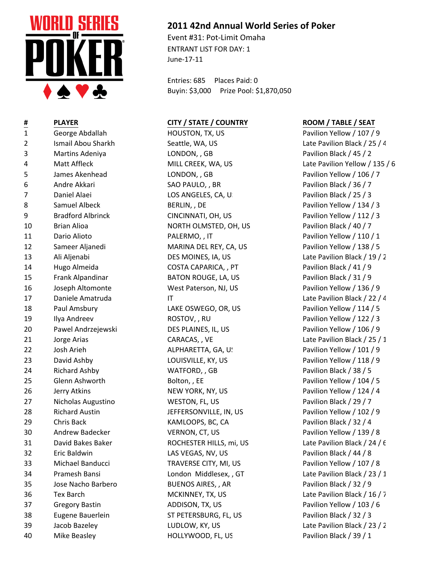

| 1              | George Abdallah          |
|----------------|--------------------------|
| $\overline{2}$ | Ismail Abou Sharkh       |
| 3              | Martins Adeniya          |
| 4              | Matt Affleck             |
| 5              | James Akenhead           |
| 6              | Andre Akkari             |
| 7              | Daniel Alaei             |
| 8              | Samuel Albeck            |
| 9              | <b>Bradford Albrinck</b> |
| 10             | <b>Brian Alioa</b>       |
| 11             | Dario Alioto             |
| 12             | Sameer Aljanedi          |
| 13             | Ali Aljenabi             |
| 14             | Hugo Almeida             |
| 15             | Frank Alpandinar         |
| 16             | Joseph Altomonte         |
| 17             | Daniele Amatruda         |
| 18             | Paul Amsbury             |
| 19             | Ilya Andreev             |
| 20             | Pawel Andrzejewski       |
| 21             | Jorge Arias              |
| 22             | Josh Arieh               |
| 23             | David Ashby              |
| 24             | <b>Richard Ashby</b>     |
| 25             | Glenn Ashworth           |
| 26             | Jerry Atkins             |
| 27             | Nicholas Augustino       |
| 28             | <b>Richard Austin</b>    |
| 29             | <b>Chris Back</b>        |
| 30             | <b>Andrew Badecker</b>   |
| 31             | David Bakes Baker        |
| 32             | Eric Baldwin             |
| 33             | Michael Banducci         |
| 34             | <b>Pramesh Bansi</b>     |
| 35             | Jose Nacho Barbero       |
| 36             | <b>Tex Barch</b>         |
| 37             | <b>Gregory Bastin</b>    |
| 38             | Eugene Bauerlein         |
| 39             | Jacob Bazeley            |

## **2011 42nd Annual World Series of Poker**

Event #31: Pot-Limit Omaha ENTRANT LIST FOR DAY: 1 June-17-11

Entries: 685 Places Paid: 0 Buyin: \$3,000 Prize Pool: \$1,870,050

## **# PLAYER CITY / STATE / COUNTRY ROOM / TABLE / SEAT**

HOUSTON, TX, US Pavilion Yellow / 107 / 9 2 Seattle, WA, US Late Pavilion Black / 25 / 4 LONDON, , GB Pavilion Black / 45 / 2 LONDON, , GB Pavilion Yellow / 106 / 7 SAO PAULO, , BR Pavilion Black / 36 / 7 LOS ANGELES, CA, US Pavilion Black / 25 / 3 BERLIN, , DE Pavilion Yellow / 134 / 3 9 Bradford Albrinck CINCINNATI, OH, US Pavilion Yellow / 112 / 3 NORTH OLMSTED, OH, US Pavilion Black / 40 / 7 PALERMO, , IT PALERMO, Pavilion Yellow / 110 / 1 MARINA DEL REY, CA, US Pavilion Yellow / 138 / 5 COSTA CAPARICA, , PT Pavilion Black / 41 / 9 BATON ROUGE, LA, US Pavilion Black / 31 / 9 West Paterson, NJ, US Pavilion Yellow / 136 / 9 17 Daniele Amatruda IT Late Pavilion Black / 22 / 4 LAKE OSWEGO, OR, US Pavilion Yellow / 114 / 5 ROSTOV, , RU Pavilion Yellow / 122 / 3 DES PLAINES, IL, US Pavilion Yellow / 106 / 9 ALPHARETTA, GA, U. 22 December 2012 Pavilion Yellow / 101 / 9 LOUISVILLE, KY, US Pavilion Yellow / 118 / 9 WATFORD, , GB Pavilion Black / 38 / 5 Example 3 Bolton, , EE Pavilion Yellow / 104 / 5 NEW YORK, NY, US Pavilion Yellow / 124 / 4 WESTON, FL, US Pavilion Black / 29 / 7 JEFFERSONVILLE, IN, US Pavilion Yellow / 102 / 9 KAMLOOPS, BC, CA Pavilion Black / 32 / 4 VERNON, CT, US Pavilion Yellow / 139 / 8 LAS VEGAS, NV, US Pavilion Black / 44 / 8 33 Michael Banducci TRAVERSE CITY, MI, US Pavilion Yellow / 107 / 8 BUENOS AIRES, , AR Pavilion Black / 32 / 9 MCKINNEY, TX, US Late Pavilion Black / 16 / 7 37 Gregory Bastin ADDISON, TX, US Pavilion Yellow / 103 / 6 ST PETERSBURG, FL, US Pavilion Black / 32 / 3 40 Mike Beasley **HOLLYWOOD, FL, US** Pavilion Black / 39 / 1

MILL CREEK, WA, US Late Pavilion Yellow / 135 / 6 DES MOINES, IA, US Late Pavilion Black / 19 / 2 CARACAS, , VE Late Pavilion Black / 25 / 1 81 ROCHESTER HILLS, mi, US Late Pavilion Black / 24 / 6 London Middlesex, , GT Late Pavilion Black / 23 / 1 LUDLOW, KY, US Late Pavilion Black / 23 / 2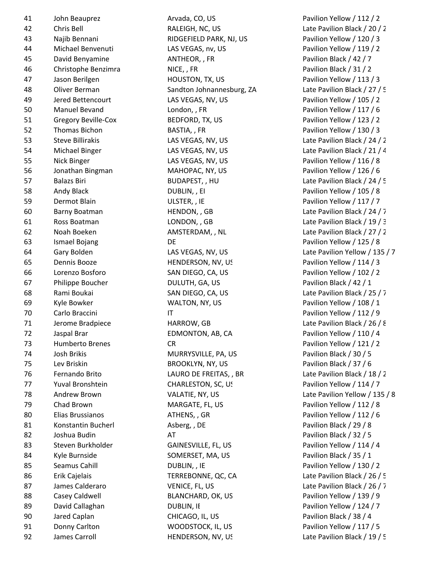| 41 | John Beauprez                         |
|----|---------------------------------------|
| 42 | Chris Bell                            |
| 43 | Najib Bennani                         |
| 44 | Michael Benvenuti                     |
| 45 | David Benyamine                       |
| 46 | Christophe Benzimra                   |
| 47 | Jason Berilgen                        |
| 48 | Oliver Berman                         |
| 49 | Jered Bettencourt                     |
| 50 | <b>Manuel Bevand</b>                  |
| 51 | <b>Gregory Beville-Cox</b>            |
| 52 | <b>Thomas Bichon</b>                  |
| 53 | <b>Steve Billirakis</b>               |
| 54 | Michael Binger                        |
| 55 | <b>Nick Binger</b>                    |
| 56 | Jonathan Bingman                      |
| 57 | <b>Balazs Biri</b>                    |
| 58 | Andy Black                            |
| 59 | <b>Dermot Blain</b>                   |
| 60 | <b>Barny Boatman</b>                  |
| 61 | Ross Boatman                          |
| 62 | Noah Boeken                           |
| 63 | <b>Ismael Bojang</b>                  |
| 64 | Gary Bolden                           |
| 65 | Dennis Booze                          |
| 66 | Lorenzo Bosforo                       |
| 67 | Philippe Boucher                      |
| 68 | Rami Boukai                           |
| 69 | Kyle Bowker                           |
| 70 | Carlo Braccini                        |
| 71 | Jerome Bradpiece                      |
| 72 |                                       |
| 73 | Jaspal Brar<br><b>Humberto Brenes</b> |
| 74 | <b>Josh Brikis</b>                    |
| 75 | Lev Briskin                           |
| 76 | <b>Fernando Brito</b>                 |
| 77 | Yuval Bronshtein                      |
| 78 | <b>Andrew Brown</b>                   |
| 79 | <b>Chad Brown</b>                     |
|    |                                       |
| 80 | Elias Brussianos                      |
| 81 | Konstantin Bucherl                    |
| 82 | Joshua Budin                          |
| 83 | Steven Burkholder                     |
| 84 | Kyle Burnside                         |
| 85 | Seamus Cahill                         |
| 86 | Erik Cajelais                         |
| 87 | James Calderaro                       |
| 88 | Casey Caldwell                        |
| 89 | David Callaghan                       |
| 90 | Jared Caplan                          |
| 91 | Donny Carlton                         |

Arvada, CO, US Pavilion Yellow / 112 / 2 RIDGEFIELD PARK, NJ, US Pavilion Yellow / 120 / 3 LAS VEGAS, nv, US Pavilion Yellow / 119 / 2 ANTHEOR, , FR Pavilion Black / 42 / 7 AICE, , FR Pavilion Black / 31 / 2 47 Jason Berilgen HOUSTON, TX, US Pavilion Yellow / 113 / 3 LAS VEGAS, NV, US Pavilion Yellow / 105 / 2 50 Manuel Bevand London, , FR Pavilion Yellow / 117 / 6 EXPEDFORD, TX, US Pavilion Yellow / 123 / 2 52 Thomas Bichon BASTIA, , FR Pavilion Yellow / 130 / 3 LAS VEGAS, NV, US Pavilion Yellow / 116 / 8 MAHOPAC, NY, US Pavilion Yellow / 126 / 6 58 Andy Black DUBLIN, , EI Pavilion Yellow / 105 / 8 ULSTER, , IE Pavilion Yellow / 117 / 7 DE Pavilion Yellow / 125 / 8 HENDERSON, NV, US Pavilion Yellow / 114 / 3 SAN DIEGO, CA, US Pavilion Yellow / 102 / 2 DULUTH, GA, US Pavilion Black / 42 / 1 WALTON, NY, US Pavilion Yellow / 108 / 1 IT Pavilion Yellow / 112 / 9 EDMONTON, AB, CA Pavilion Yellow / 110 / 4 CR Pavilion Yellow / 121 / 2 MURRYSVILLE, PA, US Pavilion Black / 30 / 5 BROOKLYN, NY, US Pavilion Black / 37 / 6 CHARLESTON, SC, US Pavilion Yellow / 114 / 7 MARGATE, FL, US Pavilion Yellow / 112 / 8 ATHENS, , GR Pavilion Yellow / 112 / 6 Asberg, , DE Pavilion Black / 29 / 8 AT Pavilion Black / 32 / 5 GAINESVILLE, FL, US Pavilion Yellow / 114 / 4 SOMERSET, MA, US Pavilion Black / 35 / 1 **DUBLIN, , IE** Pavilion Yellow / 130 / 2 BLANCHARD, OK, US Pavilion Yellow / 139 / 9 **BUBLIN, If** Pavilion Yellow / 124 / 7 CHICAGO, IL, US Pavilion Black / 38 / 4 WOODSTOCK, IL, US Pavilion Yellow / 117 / 5

RALEIGH, NC, US Late Pavilion Black / 20 / 2 Sandton Johnannesburg, ZA Late Pavilion Black / 27 / 5 LAS VEGAS, NV, US Late Pavilion Black / 24 / 2 LAS VEGAS, NV, US Late Pavilion Black / 21 / 4 BUDAPEST, , HU Late Pavilion Black / 24 / 5 HENDON, GB Late Pavilion Black / 24 / 7 LONDON, , GB Late Pavilion Black / 19 / 3 AMSTERDAM, , NL Late Pavilion Black / 27 / 2 LAS VEGAS, NV, US Late Pavilion Yellow / 135 / 7 SAN DIEGO, CA, US Late Pavilion Black / 25 / 7 71 Jerome Bradpiece HARROW, GB Late Pavilion Black / 26 / 8 LAURO DE FREITAS, , BR
LAURO DE FREITAS, , BR
Late Pavilion Black / 18 / 2 VALATIE, NY, US Late Pavilion Yellow / 135 / 8 TERREBONNE, QC, CA Late Pavilion Black / 26 / 5 VENICE, FL, US Late Pavilion Black / 26 / 7 92 James Carroll **HENDERSON, NV, US** Late Pavilion Black / 19 / 5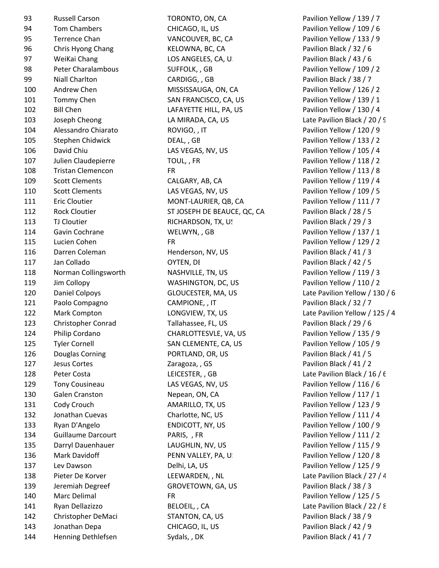| 93  | <b>Russell Carson</b>     | TORONTO, ON, CA             | Pavilion Yellow / 139   |
|-----|---------------------------|-----------------------------|-------------------------|
| 94  | <b>Tom Chambers</b>       | CHICAGO, IL, US             | Pavilion Yellow / 109   |
| 95  | <b>Terrence Chan</b>      | VANCOUVER, BC, CA           | Pavilion Yellow / 133   |
| 96  | Chris Hyong Chang         | KELOWNA, BC, CA             | Pavilion Black / 32 / 6 |
| 97  | WeiKai Chang              | LOS ANGELES, CA, U.         | Pavilion Black / 43 / 6 |
| 98  | Peter Charalambous        | SUFFOLK, , GB               | Pavilion Yellow / 109   |
| 99  | Niall Charlton            | CARDIGG, , GB               | Pavilion Black / 38 / 7 |
| 100 | Andrew Chen               | MISSISSAUGA, ON, CA         | Pavilion Yellow / 126   |
| 101 | Tommy Chen                | SAN FRANCISCO, CA, US       | Pavilion Yellow / 139   |
| 102 | <b>Bill Chen</b>          | LAFAYETTE HILL, PA, US      | Pavilion Yellow / 130   |
| 103 | Joseph Cheong             | LA MIRADA, CA, US           | Late Pavilion Black / 2 |
| 104 | Alessandro Chiarato       | ROVIGO, , IT                | Pavilion Yellow / 120   |
| 105 | Stephen Chidwick          | DEAL, , GB                  | Pavilion Yellow / 133   |
| 106 | David Chiu                | LAS VEGAS, NV, US           | Pavilion Yellow / 105   |
| 107 | Julien Claudepierre       | TOUL,, FR                   | Pavilion Yellow / 118   |
| 108 | <b>Tristan Clemencon</b>  | <b>FR</b>                   | Pavilion Yellow / 113   |
| 109 | <b>Scott Clements</b>     | CALGARY, AB, CA             | Pavilion Yellow / 119   |
| 110 | <b>Scott Clements</b>     | LAS VEGAS, NV, US           | Pavilion Yellow / 109   |
| 111 | <b>Eric Cloutier</b>      | MONT-LAURIER, QB, CA        | Pavilion Yellow / 111   |
| 112 | <b>Rock Cloutier</b>      | ST JOSEPH DE BEAUCE, QC, CA | Pavilion Black / 28 / 5 |
| 113 | TJ Cloutier               | RICHARDSON, TX, US          | Pavilion Black / 29 / 3 |
| 114 | Gavin Cochrane            | WELWYN,, GB                 | Pavilion Yellow / 137   |
| 115 | Lucien Cohen              | <b>FR</b>                   | Pavilion Yellow / 129   |
| 116 | Darren Coleman            | Henderson, NV, US           | Pavilion Black / 41 / 3 |
| 117 | Jan Collado               | OYTEN, DI                   | Pavilion Black / 42 / 5 |
| 118 | Norman Collingsworth      | NASHVILLE, TN, US           | Pavilion Yellow / 119   |
| 119 | Jim Collopy               | WASHINGTON, DC, US          | Pavilion Yellow / 110   |
| 120 | Daniel Colpoys            | GLOUCESTER, MA, US          | Late Pavilion Yellow /  |
| 121 | Paolo Compagno            | CAMPIONE, , IT              | Pavilion Black / 32 / 7 |
| 122 | Mark Compton              | LONGVIEW, TX, US            | Late Pavilion Yellow /  |
| 123 | Christopher Conrad        | Tallahassee, FL, US         | Pavilion Black / 29 / 6 |
| 124 | Philip Cordano            | CHARLOTTESVLE, VA, US       | Pavilion Yellow / 135   |
| 125 | <b>Tyler Cornell</b>      | SAN CLEMENTE, CA, US        | Pavilion Yellow / 105   |
| 126 | Douglas Corning           | PORTLAND, OR, US            | Pavilion Black / 41 / 5 |
| 127 | Jesus Cortes              | Zaragoza, , GS              | Pavilion Black / 41 / 2 |
| 128 | Peter Costa               | LEICESTER, , GB             | Late Pavilion Black / 1 |
| 129 | <b>Tony Cousineau</b>     | LAS VEGAS, NV, US           | Pavilion Yellow / 116   |
| 130 | Galen Cranston            | Nepean, ON, CA              | Pavilion Yellow / 117   |
| 131 | Cody Crouch               | AMARILLO, TX, US            | Pavilion Yellow / 123   |
| 132 | Jonathan Cuevas           | Charlotte, NC, US           | Pavilion Yellow / 111   |
| 133 | Ryan D'Angelo             | ENDICOTT, NY, US            | Pavilion Yellow / 100   |
| 134 | <b>Guillaume Darcourt</b> | PARIS, , FR                 | Pavilion Yellow / 111   |
| 135 | Darryl Dauenhauer         | LAUGHLIN, NV, US            | Pavilion Yellow / 115   |
| 136 | Mark Davidoff             | PENN VALLEY, PA, U.         | Pavilion Yellow / 120   |
| 137 | Lev Dawson                | Delhi, LA, US               | Pavilion Yellow / 125   |
| 138 | Pieter De Korver          | LEEWARDEN, , NL             | Late Pavilion Black / 2 |
| 139 | Jeremiah Degreef          | GROVETOWN, GA, US           | Pavilion Black / 38 / 3 |
| 140 | Marc Delimal              | <b>FR</b>                   | Pavilion Yellow / 125   |
| 141 | Ryan Dellazizzo           | BELOEIL, , CA               | Late Pavilion Black / 2 |
| 142 | Christopher DeMaci        | STANTON, CA, US             | Pavilion Black / 38 / 9 |
| 143 | Jonathan Depa             | CHICAGO, IL, US             | Pavilion Black / 42 / 9 |
| 144 | Henning Dethlefsen        | Sydals, , DK                | Pavilion Black / 41 / 7 |
|     |                           |                             |                         |

TORONTO, ON, CA Pavilion Yellow / 139 / 7 94 Tom Chambers CHICAGO, IL, US Pavilion Yellow / 109 / 6 VANCOUVER, BC, CA Pavilion Yellow / 133 / 9 KELOWNA, BC, CA Pavilion Black / 32 / 6 LOS ANGELES, CA, US Pavilion Black / 43 / 6 SUFFOLK, , GB Pavilion Yellow / 109 / 2 CARDIGG, , GB Pavilion Black / 38 / 7 MISSISSAUGA, ON, CA Pavilion Yellow / 126 / 2 SAN FRANCISCO, CA, US Pavilion Yellow / 139 / 1 LAFAYETTE HILL, PA, US Pavilion Yellow / 130 / 4 LA MIRADA, CA, US Late Pavilion Black / 20 / 9 ROVIGO, , IT Pavilion Yellow / 120 / 9 DEAL, , GB Pavilion Yellow / 133 / 2 LAS VEGAS, NV, US Pavilion Yellow / 105 / 4 TOUL, , FR Pavilion Yellow / 118 / 2 FR Pavilion Yellow / 113 / 8 CALGARY, AB, CA Pavilion Yellow / 119 / 4 LAS VEGAS, NV, US Pavilion Yellow / 109 / 5 MONT-LAURIER, QB, CA Pavilion Yellow / 111 / 7 ST JOSEPH DE BEAUCE, QC, CA Pavilion Black / 28 / 5 RICHARDSON, TX, US Pavilion Black / 29 / 3 WELWYN, , GB Pavilion Yellow / 137 / 1 FR Pavilion Yellow / 129 / 2 Henderson, NV, US Pavilion Black / 41 / 3 117 Jan Collado OYTEN, DE Pavilion Black / 42 / 5 NASHVILLE, TN, US Pavilion Yellow / 119 / 3 WASHINGTON, DC, US Pavilion Yellow / 110 / 2 120 Daniel Colpoys GLOUCESTER, MA, US Late Pavilion Yellow / 130 / 6 CAMPIONE, IT Pavilion Black / 32 / 7 LONGVIEW, TX, US Late Pavilion Yellow / 125 / 4 Tallahassee, FL, US Pavilion Black / 29 / 6 CHARLOTTESVLE, VA, US Pavilion Yellow / 135 / 9 SAN CLEMENTE, CA, US Pavilion Yellow / 105 / 9 PORTLAND, OR, US Pavilion Black / 41 / 5 Zaragoza, , GS Pavilion Black / 41 / 2 LEICESTER, , GB Late Pavilion Black / 16 / 6 LAS VEGAS, NV, US Pavilion Yellow / 116 / 6 Nepean, ON, CA Pavilion Yellow / 117 / 1 AMARILLO, TX, US Pavilion Yellow / 123 / 9 Charlotte, NC, US Pavilion Yellow / 111 / 4 ENDICOTT, NY, US Pavilion Yellow / 100 / 9 PARIS, , FR PARIS, PARIS, PARIS, PARIS, PARIS, PARIS, PARIS, PARIS, PARIS, PARIS, PARIS, PARIS, PARIS, PARIS, P LAUGHLIN, NV, US Pavilion Yellow / 115 / 9 PENN VALLEY, PA, US PARK DAVILION Yellow / 120 / 8 Delhi, LA, US Pavilion Yellow / 125 / 9 LEEWARDEN, , NL Late Pavilion Black / 27 / 4 GROVETOWN, GA, US Pavilion Black / 38 / 3 FR Pavilion Yellow / 125 / 5 BELOEIL, , CA Late Pavilion Black / 22 / 8 142 STANTON, CA, US Pavilion Black / 38 / 9 CHICAGO, IL, US Pavilion Black / 42 / 9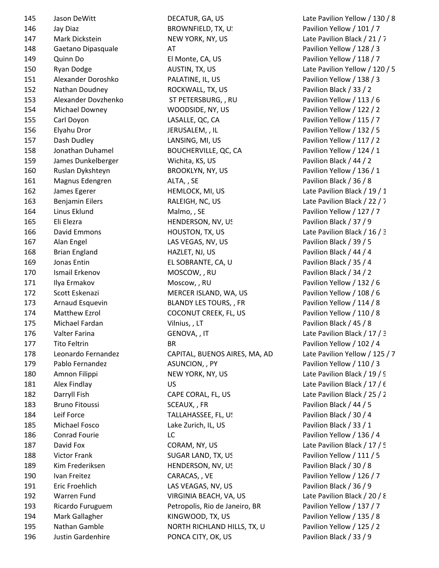196 Justin Gardenhire PONCA CITY, OK, US Pavilion Black / 33 / 9

145 Jason DeWitt DECATUR, GA, US Late Pavilion Yellow / 130 / 8 146 Jay Diaz **BROWNFIELD, TX, US Pavilion Yellow** / 101 / 7 147 Mark Dickstein NEW YORK, NY, US Late Pavilion Black / 21 / 7 148 Gaetano Dipasquale AT Pavilion Yellow / 128 / 3 149 Quinn Do El Monte, CA, US Pavilion Yellow / 118 / 7 150 Ryan Dodge **AUSTIN, TX, US** AUSTIN, TX, AS Late Pavilion Yellow / 120 / 5 151 Alexander Doroshko PALATINE, IL, US Pavilion Yellow / 138 / 3 152 Nathan Doudney **ROCKWALL, TX, US** Pavilion Black / 33 / 2 153 Alexander Dovzhenko ST PETERSBURG, , RU Pavilion Yellow / 113 / 6 154 Michael Downey WOODSIDE, NY, US Pavilion Yellow / 122 / 2 155 Carl Doyon LASALLE, QC, CA Pavilion Yellow / 115 / 7 156 Elyahu Dror JERUSALEM, , IL Pavilion Yellow / 132 / 5 157 Dash Dudley LANSING, MI, US Pavilion Yellow / 117 / 2 158 Jonathan Duhamel BOUCHERVILLE, QC, CA Pavilion Yellow / 124 / 1 159 James Dunkelberger Wichita, KS, US Pavilion Black / 44 / 2 160 Ruslan Dykshteyn BROOKLYN, NY, US Pavilion Yellow / 136 / 1 161 Magnus Edengren ALTA, SE Pavilion Black / 36 / 8 162 James Egerer HEMLOCK, MI, US Late Pavilion Black / 19 / 1 163 Benjamin Eilers RALEIGH, NC, US Late Pavilion Black / 22 / 7 164 Linus Eklund Malmo, , SE Pavilion Yellow / 127 / 7 165 Eli Elezra HENDERSON, NV, US Pavilion Black / 37 / 9 166 David Emmons **HOUSTON, TX, US** Late Pavilion Black / 16 / 3 167 Alan Engel LAS VEGAS, NV, US Pavilion Black / 39 / 5 168 Brian England HAZLET, NJ, US Pavilion Black / 44 / 4 169 Jonas Entin **EL SOBRANTE, CA, U**S Pavilion Black / 35 / 4 170 Ismail Erkenov MOSCOW, , RU Pavilion Black / 34 / 2 171 Ilya Ermakov Moscow, , RU Pavilion Yellow / 132 / 6 172 Scott Eskenazi MERCER ISLAND, WA, US Pavilion Yellow / 108 / 6 173 Arnaud Esquevin BLANDY LES TOURS, , FR Pavilion Yellow / 114 / 8 174 Matthew Ezrol COCONUT CREEK, FL, US Pavilion Yellow / 110 / 8 175 Michael Fardan **Vilnius, LT** Pavilion Black / 45 / 8 176 Valter Farina **GENOVA, IT** CHANGE Late Pavilion Black / 17 / 3 177 Tito Feltrin 2007 BR BR Pavilion Yellow / 102 / 4 178 Leonardo Fernandez CAPITAL, BUENOS AIRES, MA, AD Late Pavilion Yellow / 125 / 7 179 Pablo Fernandez ASUNCION, , PY Pavilion Yellow / 110 / 3 180 Amnon Filippi NEW YORK, NY, US Late Pavilion Black / 19 / 9 181 Alex Findlay **No. 2018** US **US** Late Pavilion Black / 17 / 6 182 Darryll Fish CAPE CORAL, FL, US Late Pavilion Black / 25 / 2 183 Bruno Fitoussi SCEAUX, FR Pavilion Black / 44 / 5 184 Leif Force TALLAHASSEE, FL, US Pavilion Black / 30 / 4 185 Michael Fosco Lake Zurich, IL, US Pavilion Black / 33 / 1 186 Conrad Fourie LC Pavilion Yellow / 136 / 4 187 David Fox CORAM, NY, US Late Pavilion Black / 17 / 5 188 Victor Frank SUGAR LAND, TX, US Pavilion Yellow / 111 / 5 189 Kim Frederiksen HENDERSON, NV, US Pavilion Black / 30 / 8 190 Ivan Freitez **CARACAS, VE CARACAS** Pavilion Yellow / 126 / 7 191 Eric Froehlich LAS VEAGAS, NV, US Pavilion Black / 36 / 9 192 Warren Fund VIRGINIA BEACH, VA, US Late Pavilion Black / 20 / 8 193 Ricardo Furuguem Petropolis, Rio de Janeiro, BR Pavilion Yellow / 137 / 7 194 Mark Gallagher KINGWOOD, TX, US Pavilion Yellow / 135 / 8 195 Nathan Gamble **NORTH RICHLAND HILLS, TX, U** Pavilion Yellow / 125 / 2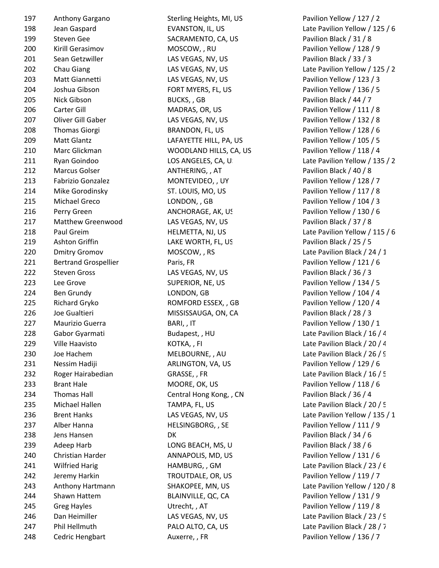| 197 | Anthony Gargano             | Sterling Heights, MI, US | Pavilion Yellow / 127 / 2  |
|-----|-----------------------------|--------------------------|----------------------------|
| 198 | Jean Gaspard                | EVANSTON, IL, US         | Late Pavilion Yellow / 12  |
| 199 | Steven Gee                  | SACRAMENTO, CA, US       | Pavilion Black / 31 / 8    |
| 200 | Kirill Gerasimov            | MOSCOW, , RU             | Pavilion Yellow / 128 / 9  |
| 201 | Sean Getzwiller             | LAS VEGAS, NV, US        | Pavilion Black / 33 / 3    |
| 202 | Chau Giang                  | LAS VEGAS, NV, US        | Late Pavilion Yellow / 12  |
| 203 | Matt Giannetti              | LAS VEGAS, NV, US        | Pavilion Yellow / 123 / 3  |
| 204 | Joshua Gibson               | FORT MYERS, FL, US       | Pavilion Yellow / 136 / 5  |
| 205 | Nick Gibson                 | BUCKS, , GB              | Pavilion Black / 44 / 7    |
| 206 | Carter Gill                 | MADRAS, OR, US           | Pavilion Yellow / 111 / 8  |
| 207 | Oliver Gill Gaber           | LAS VEGAS, NV, US        | Pavilion Yellow / 132 / 8  |
| 208 | <b>Thomas Giorgi</b>        | BRANDON, FL, US          | Pavilion Yellow / 128 / 6  |
| 209 | Matt Glantz                 | LAFAYETTE HILL, PA, US   | Pavilion Yellow / 105 / 5  |
| 210 | Marc Glickman               | WOODLAND HILLS, CA, US   | Pavilion Yellow / 118 / 4  |
| 211 | Ryan Goindoo                | LOS ANGELES, CA, U.      | Late Pavilion Yellow / 13  |
| 212 | <b>Marcus Golser</b>        | ANTHERING, , AT          | Pavilion Black / 40 / 8    |
| 213 | Fabrizio Gonzalez           | MONTEVIDEO, , UY         | Pavilion Yellow / 128 / 7  |
| 214 | Mike Gorodinsky             | ST. LOUIS, MO, US        | Pavilion Yellow / 117 / 8  |
| 215 | Michael Greco               | LONDON, , GB             | Pavilion Yellow / 104 / 3  |
| 216 | Perry Green                 | ANCHORAGE, AK, US        | Pavilion Yellow / 130 / 6  |
| 217 | Matthew Greenwood           | LAS VEGAS, NV, US        | Pavilion Black / 37 / 8    |
| 218 | Paul Greim                  | HELMETTA, NJ, US         | Late Pavilion Yellow / 11  |
| 219 | Ashton Griffin              | LAKE WORTH, FL, US       | Pavilion Black / 25 / 5    |
| 220 | <b>Dmitry Gromov</b>        | MOSCOW, , RS             | Late Pavilion Black / 24 / |
| 221 | <b>Bertrand Grospellier</b> | Paris, FR                | Pavilion Yellow / 121 / 6  |
| 222 | <b>Steven Gross</b>         | LAS VEGAS, NV, US        | Pavilion Black / 36 / 3    |
| 223 | Lee Grove                   | SUPERIOR, NE, US         | Pavilion Yellow / 134 / 5  |
| 224 | Ben Grundy                  | LONDON, GB               | Pavilion Yellow / 104 / 4  |
| 225 | Richard Gryko               | ROMFORD ESSEX, , GB      | Pavilion Yellow / 120 / 4  |
| 226 | Joe Gualtieri               | MISSISSAUGA, ON, CA      | Pavilion Black / 28 / 3    |
| 227 | Maurizio Guerra             | BARI, , IT               | Pavilion Yellow / 130 / 1  |
| 228 | Gabor Gyarmati              | Budapest, , HU           | Late Pavilion Black / 16 / |
| 229 | Ville Haavisto              | KOTKA, , FI              | Late Pavilion Black / 20 / |
| 230 | Joe Hachem                  | MELBOURNE, , AU          | Late Pavilion Black / 26 / |
| 231 | Nessim Hadiji               | ARLINGTON, VA, US        | Pavilion Yellow / 129 / 6  |
| 232 | Roger Hairabedian           | GRASSE, , FR             | Late Pavilion Black / 16 / |
| 233 | <b>Brant Hale</b>           | MOORE, OK, US            | Pavilion Yellow / 118 / 6  |
| 234 | Thomas Hall                 | Central Hong Kong, , CN  | Pavilion Black / 36 / 4    |
| 235 | Michael Hallen              | TAMPA, FL, US            | Late Pavilion Black / 20 / |
| 236 | <b>Brent Hanks</b>          | LAS VEGAS, NV, US        | Late Pavilion Yellow / 13  |
| 237 | Alber Hanna                 | HELSINGBORG, , SE        | Pavilion Yellow / 111 / 9  |
| 238 | Jens Hansen                 | DK                       | Pavilion Black / 34 / 6    |
| 239 | Adeep Harb                  | LONG BEACH, MS, U        | Pavilion Black / 38 / 6    |
| 240 | Christian Harder            | ANNAPOLIS, MD, US        | Pavilion Yellow / 131 / 6  |
| 241 | <b>Wilfried Harig</b>       | HAMBURG, , GM            | Late Pavilion Black / 23 / |
| 242 | Jeremy Harkin               | TROUTDALE, OR, US        | Pavilion Yellow / 119 / 7  |
| 243 | Anthony Hartmann            | SHAKOPEE, MN, US         | Late Pavilion Yellow / 12  |
| 244 | Shawn Hattem                | BLAINVILLE, QC, CA       | Pavilion Yellow / 131 / 9  |
| 245 | <b>Greg Hayles</b>          | Utrecht, , AT            | Pavilion Yellow / 119 / 8  |
| 246 | Dan Heimiller               | LAS VEGAS, NV, US        | Late Pavilion Black / 23 / |
| 247 | Phil Hellmuth               | PALO ALTO, CA, US        | Late Pavilion Black / 28 / |
| 248 | Cedric Hengbart             | Auxerre, , FR            | Pavilion Yellow / 136 / 7  |

EVANSTON, IL, US Late Pavilion Yellow / 125 / 6 LAS VEGAS, NV, US Late Pavilion Yellow / 125 / 2 LOS ANGELES, CA, US Late Pavilion Yellow / 135 / 2 218 Paul Greim HELMETTA, NJ, US Late Pavilion Yellow / 115 / 6 MOSCOW, , RS Late Pavilion Black / 24 / 1 Budapest, , HU Late Pavilion Black / 16 / 4 229 Ville Haavisto KOTKA, , FI Late Pavilion Black / 20 / 4 MELBOURNE, , AU Late Pavilion Black / 26 / 9 GRASSE, , FR Late Pavilion Black / 16 / 5 TAMPA, FL, US Late Pavilion Black / 20 / 5 LAS VEGAS, NV, US Late Pavilion Yellow / 135 / 1 HAMBURG, , GM Late Pavilion Black / 23 / 6 243 SHAKOPEE, MN, US Late Pavilion Yellow / 120 / 8 LAS VEGAS, NV, US Late Pavilion Black / 23 / 9 PALO ALTO, CA, US Late Pavilion Black / 28 / 7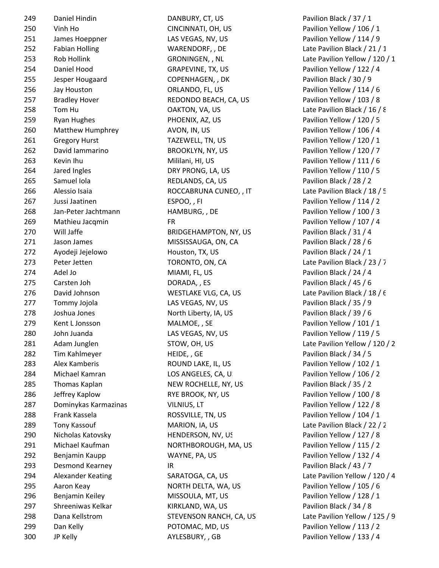| 249 | Daniel Hindin         | DANBURY, CT, US              | Pavilion Black / 37 / 1    |
|-----|-----------------------|------------------------------|----------------------------|
| 250 | Vinh Ho               | CINCINNATI, OH, US           | Pavilion Yellow / 106 / 1  |
| 251 | James Hoeppner        | LAS VEGAS, NV, US            | Pavilion Yellow / 114 / 9  |
| 252 | <b>Fabian Holling</b> | WARENDORF, , DE              | Late Pavilion Black / 21 / |
| 253 | Rob Hollink           | GRONINGEN, , NL              | Late Pavilion Yellow / 12  |
| 254 | Daniel Hood           | GRAPEVINE, TX, US            | Pavilion Yellow / 122 / 4  |
| 255 | Jesper Hougaard       | COPENHAGEN, , DK             | Pavilion Black / 30 / 9    |
| 256 | Jay Houston           | ORLANDO, FL, US              | Pavilion Yellow / 114 / 6  |
| 257 | <b>Bradley Hover</b>  | REDONDO BEACH, CA, US        | Pavilion Yellow / 103 / 8  |
| 258 | Tom Hu                | OAKTON, VA, US               | Late Pavilion Black / 16 / |
| 259 | <b>Ryan Hughes</b>    | PHOENIX, AZ, US              | Pavilion Yellow / 120 / 5  |
| 260 | Matthew Humphrey      | AVON, IN, US                 | Pavilion Yellow / 106 / 4  |
| 261 | <b>Gregory Hurst</b>  | TAZEWELL, TN, US             | Pavilion Yellow / 120 / 1  |
| 262 | David lammarino       | <b>BROOKLYN, NY, US</b>      | Pavilion Yellow / 120 / 7  |
| 263 | Kevin Ihu             | Mililani, HI, US             | Pavilion Yellow / 111 / 6  |
| 264 | Jared Ingles          | DRY PRONG, LA, US            | Pavilion Yellow / 110 / 5  |
| 265 | Samuel Iola           | REDLANDS, CA, US             | Pavilion Black / 28 / 2    |
| 266 | Alessio Isaia         | ROCCABRUNA CUNEO, , IT       | Late Pavilion Black / 18 / |
| 267 | Jussi Jaatinen        | ESPOO,, FI                   | Pavilion Yellow / 114 / 2  |
| 268 | Jan-Peter Jachtmann   | HAMBURG,, DE                 | Pavilion Yellow / 100 / 3  |
| 269 | Mathieu Jacqmin       | <b>FR</b>                    | Pavilion Yellow / 107 / 4  |
| 270 | Will Jaffe            | <b>BRIDGEHAMPTON, NY, US</b> | Pavilion Black / 31 / 4    |
| 271 | Jason James           | MISSISSAUGA, ON, CA          | Pavilion Black / 28 / 6    |
| 272 | Ayodeji Jejelowo      | Houston, TX, US              | Pavilion Black / 24 / 1    |
| 273 | Peter Jetten          | TORONTO, ON, CA              | Late Pavilion Black / 23 / |
| 274 | Adel Jo               | MIAMI, FL, US                | Pavilion Black / 24 / 4    |
| 275 | Carsten Joh           | DORADA, , ES                 | Pavilion Black / 45 / 6    |
| 276 | David Johnson         | WESTLAKE VLG, CA, US         | Late Pavilion Black / 18 / |
| 277 | Tommy Jojola          | LAS VEGAS, NV, US            | Pavilion Black / 35 / 9    |
| 278 | Joshua Jones          | North Liberty, IA, US        | Pavilion Black / 39 / 6    |
| 279 | Kent L Jonsson        | MALMOE, , SE                 | Pavilion Yellow / 101 / 1  |
| 280 | John Juanda           | LAS VEGAS, NV, US            | Pavilion Yellow / 119 / 5  |
| 281 | Adam Junglen          | STOW, OH, US                 | Late Pavilion Yellow / 12  |
| 282 | Tim Kahlmeyer         | HEIDE, , GE                  | Pavilion Black / 34 / 5    |
| 283 | Alex Kamberis         | ROUND LAKE, IL, US           | Pavilion Yellow / 102 / 1  |
| 284 | Michael Kamran        | LOS ANGELES, CA, U.          | Pavilion Yellow / 106 / 2  |
| 285 | Thomas Kaplan         | NEW ROCHELLE, NY, US         | Pavilion Black / 35 / 2    |
| 286 | Jeffrey Kaplow        | RYE BROOK, NY, US            | Pavilion Yellow / 100 / 8  |
| 287 | Dominykas Karmazinas  | VILNIUS, LT                  | Pavilion Yellow / 122 / 8  |
| 288 | Frank Kassela         | ROSSVILLE, TN, US            | Pavilion Yellow / 104 / 1  |
| 289 | Tony Kassouf          | MARION, IA, US               | Late Pavilion Black / 22 / |
| 290 | Nicholas Katovsky     | HENDERSON, NV, US            | Pavilion Yellow / 127 / 8  |
| 291 | Michael Kaufman       | NORTHBOROUGH, MA, US         | Pavilion Yellow / 115 / 2  |
| 292 | Benjamin Kaupp        | WAYNE, PA, US                | Pavilion Yellow / 132 / 4  |
| 293 | Desmond Kearney       | IR.                          | Pavilion Black / 43 / 7    |
| 294 | Alexander Keating     | SARATOGA, CA, US             | Late Pavilion Yellow / 12  |
| 295 | Aaron Keay            | NORTH DELTA, WA, US          | Pavilion Yellow / 105 / 6  |
| 296 | Benjamin Keiley       | MISSOULA, MT, US             | Pavilion Yellow / 128 / 1  |
| 297 | Shreeniwas Kelkar     | KIRKLAND, WA, US             | Pavilion Black / 34 / 8    |
| 298 | Dana Kellstrom        | STEVENSON RANCH, CA, US      | Late Pavilion Yellow / 12  |
| 299 | Dan Kelly             | POTOMAC, MD, US              | Pavilion Yellow / 113 / 2  |
| 300 | JP Kelly              | AYLESBURY, , GB              | Pavilion Yellow / 133 / 4  |
|     |                       |                              |                            |

GRONINGEN, , NL Late Pavilion Yellow / 120 / 1 STOW, OH, US Late Pavilion Yellow / 120 / 2 SARATOGA, CA, US Late Pavilion Yellow / 120 / 4 STEVENSON RANCH, CA, US Late Pavilion Yellow / 125 / 9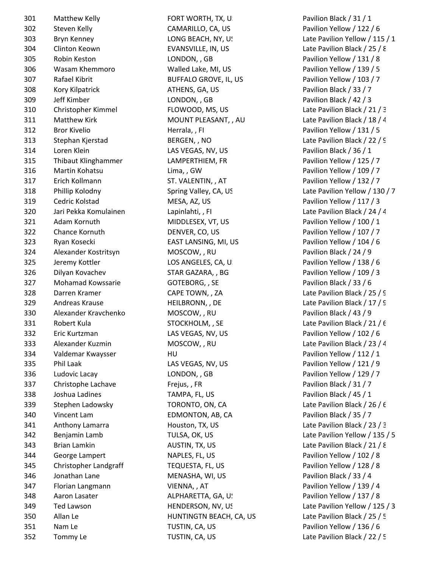| 301        | Matthew Kelly                     | FORT WORTH, TX, U                  | Pavilion Black / 31 / 1      |
|------------|-----------------------------------|------------------------------------|------------------------------|
| 302        | Steven Kelly                      | CAMARILLO, CA, US                  | Pavilion Yellow / 122 / 6    |
| 303        | Bryn Kenney                       | LONG BEACH, NY, US                 | Late Pavilion Yellow / 115   |
| 304        | Clinton Keown                     | EVANSVILLE, IN, US                 | Late Pavilion Black / 25 / 8 |
| 305        | Robin Keston                      | LONDON, , GB                       | Pavilion Yellow / 131 / 8    |
| 306        | Wasam Khemmoro                    | Walled Lake, MI, US                | Pavilion Yellow / 139 / 5    |
| 307        | Rafael Kibrit                     | <b>BUFFALO GROVE, IL, US</b>       | Pavilion Yellow / 103 / 7    |
| 308        | Kory Kilpatrick                   | ATHENS, GA, US                     | Pavilion Black / 33 / 7      |
| 309        | Jeff Kimber                       | LONDON, , GB                       | Pavilion Black / 42 / 3      |
| 310        | Christopher Kimmel                | FLOWOOD, MS, US                    | Late Pavilion Black / 21 / 3 |
| 311        | <b>Matthew Kirk</b>               | MOUNT PLEASANT, , AU               | Late Pavilion Black / 18 / 4 |
| 312        | <b>Bror Kivelio</b>               | Herrala, , FI                      | Pavilion Yellow / 131 / 5    |
| 313        | Stephan Kjerstad                  | BERGEN, , NO                       | Late Pavilion Black / 22 / 9 |
| 314        | Loren Klein                       | LAS VEGAS, NV, US                  | Pavilion Black / 36 / 1      |
| 315        | Thibaut Klinghammer               | LAMPERTHIEM, FR                    | Pavilion Yellow / 125 / 7    |
| 316        | Martin Kohatsu                    | Lima,, GW                          | Pavilion Yellow / 109 / 7    |
| 317        | Erich Kollmann                    | ST. VALENTIN, , AT                 | Pavilion Yellow / 132 / 7    |
| 318        | Phillip Kolodny                   | Spring Valley, CA, US              | Late Pavilion Yellow / 130   |
| 319        | Cedric Kolstad                    | MESA, AZ, US                       | Pavilion Yellow / 117 / 3    |
| 320        | Jari Pekka Komulainen             | Lapinlahti, , FI                   | Late Pavilion Black / 24 / 4 |
| 321        | Adam Kornuth                      | MIDDLESEX, VT, US                  | Pavilion Yellow / 100 / 1    |
| 322        | Chance Kornuth                    | DENVER, CO, US                     | Pavilion Yellow / 107 / 7    |
| 323        | Ryan Kosecki                      | EAST LANSING, MI, US               | Pavilion Yellow / 104 / 6    |
| 324        | Alexander Kostritsyn              | MOSCOW, , RU                       | Pavilion Black / 24 / 9      |
| 325        | Jeremy Kottler                    | LOS ANGELES, CA, U.                | Pavilion Yellow / 138 / 6    |
| 326        | Dilyan Kovachev                   | STAR GAZARA, , BG                  | Pavilion Yellow / 109 / 3    |
| 327        | Mohamad Kowssarie                 | GOTEBORG, , SE                     | Pavilion Black / 33 / 6      |
| 328        | Darren Kramer                     | CAPE TOWN, , ZA                    | Late Pavilion Black / 25 / 9 |
| 329        | Andreas Krause                    | HEILBRONN, , DE                    | Late Pavilion Black / 17 / 9 |
| 330        | Alexander Kravchenko              | MOSCOW, , RU                       | Pavilion Black / 43 / 9      |
| 331        | Robert Kula                       | STOCKHOLM, , SE                    | Late Pavilion Black / 21 / 6 |
| 332        | Eric Kurtzman                     | LAS VEGAS, NV, US                  | Pavilion Yellow / 102 / 6    |
| 333        | Alexander Kuzmin                  | MOSCOW, , RU                       | Late Pavilion Black / 23 / 4 |
| 334        | Valdemar Kwaysser                 | HU                                 | Pavilion Yellow / 112 / 1    |
| 335        | Phil Laak                         | LAS VEGAS, NV, US                  | Pavilion Yellow / 121 / 9    |
| 336        | Ludovic Lacay                     | LONDON, , GB                       | Pavilion Yellow / 129 / 7    |
| 337        | Christophe Lachave                | Frejus,, FR                        | Pavilion Black / 31 / 7      |
| 338        | Joshua Ladines                    | TAMPA, FL, US                      | Pavilion Black / 45 / 1      |
| 339        | Stephen Ladowsky                  | TORONTO, ON, CA                    | Late Pavilion Black / 26 / 6 |
| 340        | Vincent Lam                       | EDMONTON, AB, CA                   | Pavilion Black / 35 / 7      |
| 341        | Anthony Lamarra                   | Houston, TX, US                    | Late Pavilion Black / 23 / 3 |
| 342        | Benjamin Lamb                     | TULSA, OK, US                      | Late Pavilion Yellow / 135   |
| 343        | Brian Lamkin                      | AUSTIN, TX, US                     | Late Pavilion Black / 21 / 8 |
| 344        | George Lampert                    | NAPLES, FL, US                     | Pavilion Yellow / 102 / 8    |
| 345        | Christopher Landgraff             | TEQUESTA, FL, US                   | Pavilion Yellow / 128 / 8    |
| 346        | Jonathan Lane                     | MENASHA, WI, US                    | Pavilion Black / 33 / 4      |
| 347        |                                   |                                    | Pavilion Yellow / 139 / 4    |
|            | Florian Langmann<br>Aaron Lasater | VIENNA, , AT<br>ALPHARETTA, GA, U! | Pavilion Yellow / 137 / 8    |
| 348<br>349 | <b>Ted Lawson</b>                 | HENDERSON, NV, US                  | Late Pavilion Yellow / 125   |
| 350        | Allan Le                          | HUNTINGTN BEACH, CA, US            | Late Pavilion Black / 25 / 5 |
| 351        | Nam Le                            |                                    | Pavilion Yellow / 136 / 6    |
| 352        | Tommy Le                          | TUSTIN, CA, US<br>TUSTIN, CA, US   | Late Pavilion Black / 22 / 5 |
|            |                                   |                                    |                              |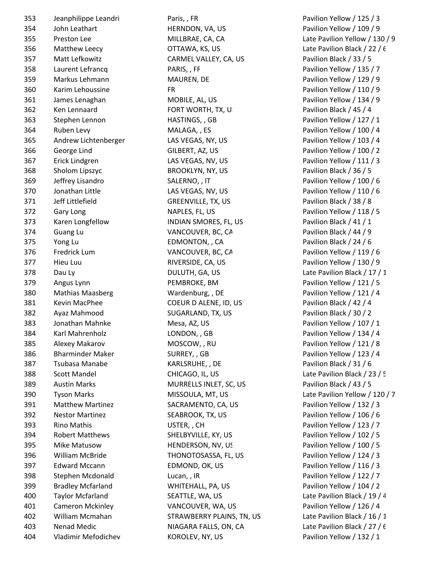| 353 | Jeanphilippe Leandr      |
|-----|--------------------------|
| 354 | John Leathart            |
| 355 | <b>Preston Lee</b>       |
| 356 | Matthew Leecy            |
| 357 | Matt Lefkowitz           |
| 358 | Laurent Lefrancq         |
| 359 | Markus Lehmann           |
| 360 | Karim Lehoussine         |
| 361 | James Lenaghan           |
| 362 | Ken Lennaard             |
| 363 | Stephen Lennon           |
| 364 | Ruben Levy               |
| 365 | Andrew Lichtenberg       |
| 366 | George Lind              |
| 367 | <b>Erick Lindgren</b>    |
| 368 | Sholom Lipszyc           |
| 369 | Jeffrey Lisandro         |
| 370 | Jonathan Little          |
| 371 | Jeff Littlefield         |
| 372 | <b>Gary Long</b>         |
| 373 | Karen Longfellow         |
| 374 | <b>Guang Lu</b>          |
| 375 | Yong Lu                  |
| 376 | <b>Fredrick Lum</b>      |
| 377 | Hieu Luu                 |
| 378 | Dau Ly                   |
| 379 | Angus Lynn               |
| 380 | <b>Mathias Maasberg</b>  |
| 381 | <b>Kevin MacPhee</b>     |
| 382 | Ayaz Mahmood             |
| 383 | Jonathan Mahnke          |
| 384 | Karl Mahrenholz          |
| 385 | Alexey Makarov           |
| 386 | <b>Bharminder Maker</b>  |
| 387 | Tsubasa Manabe           |
| 388 | Scott Mandel             |
| 389 | <b>Austin Marks</b>      |
| 390 | <b>Tyson Marks</b>       |
| 391 | <b>Matthew Martinez</b>  |
| 392 | <b>Nestor Martinez</b>   |
| 393 | <b>Rino Mathis</b>       |
| 394 | <b>Robert Matthews</b>   |
| 395 | Mike Matusow             |
| 396 | <b>William McBride</b>   |
| 397 | <b>Edward Mccann</b>     |
| 398 | Stephen Mcdonald         |
| 399 | <b>Bradley Mcfarland</b> |
| 400 | <b>Taylor Mcfarland</b>  |
| 401 | Cameron Mckinley         |
| 402 | William Mcmahan          |
| 403 | <b>Nenad Medic</b>       |
| 404 | Vladimir Mefodichev      |
|     |                          |

353 Jeanphilippe Leandri Paris, , FR Pavilion Yellow / 125 / 3 HERNDON, VA, US Pavilion Yellow / 109 / 9 OTTAWA, KS, US Late Pavilion Black / 22 / 6 CARMEL VALLEY, CA, US Pavilion Black / 33 / 5 PARIS, , FF PARIS, Pavilion Yellow / 135 / 7 MAUREN, DE Pavilion Yellow / 129 / 9 ER Pavilion Yellow / 110 / 9 MOBILE, AL, US Pavilion Yellow / 134 / 9 FORT WORTH, TX, US Pavilion Black / 45 / 4 HASTINGS, , GB Pavilion Yellow / 127 / 1 MALAGA, , ES Pavilion Yellow / 100 / 4 365 Andrew Las VEGAS, NY, US وPavilion Yellow / 103 / 4 366 George Lind GILBERT, AZ, US Pavilion Yellow / 100 / 2 LAS VEGAS, NV, US Pavilion Yellow / 111 / 3 BROOKLYN, NY, US Pavilion Black / 36 / 5 SALERNO, , IT Pavilion Yellow / 100 / 6 370 Jonathan Little LAS VEGAS, NV, US Pavilion Yellow / 110 / 6 GREENVILLE, TX, US Pavilion Black / 38 / 8 NAPLES, FL, US Pavilion Yellow / 118 / 5 INDIAN SMORES, FL, US Pavilion Black / 41 / 1 VANCOUVER, BC, CA Pavilion Black / 44 / 9 EDMONTON, , CA Pavilion Black / 24 / 6 VANCOUVER, BC, CA Pavilion Yellow / 119 / 6 RIVERSIDE, CA, US Pavilion Yellow / 130 / 9 DULUTH, GA, US Late Pavilion Black / 17 / 1 PEMBROKE, BM Pavilion Yellow / 121 / 5 Wardenburg, , DE Pavilion Yellow / 121 / 4 COEUR D ALENE, ID, US Pavilion Black / 42 / 4 SUGARLAND, TX, US Pavilion Black / 30 / 2 Mesa, AZ, US Pavilion Yellow / 107 / 1 LONDON, , GB Pavilion Yellow / 134 / 4 MOSCOW, , RU Pavilion Yellow / 121 / 8 SURREY, , GB Pavilion Yellow / 123 / 4 KARLSRUHE, , DE Pavilion Black / 31 / 6 CHICAGO, IL, US Late Pavilion Black / 23 / 5 MURRELLS INLET, SC, US Pavilion Black / 43 / 5 SACRAMENTO, CA, US Pavilion Yellow / 132 / 3 SEABROOK, TX, US Pavilion Yellow / 106 / 6 USTER, , CH Pavilion Yellow / 123 / 7 SHELBYVILLE, KY, US Pavilion Yellow / 102 / 5 HENDERSON, NV, US Pavilion Yellow / 100 / 5 THONOTOSASSA, FL, US Pavilion Yellow / 124 / 3 EDMOND, OK, US Pavilion Yellow / 116 / 3 Lucan, , IR **Stephen McDonald Lucan, , IR** Pavilion Yellow / 122 / 7 WHITEHALL, PA, US Pavilion Yellow / 104 / 2 SEATTLE, WA, US Late Pavilion Black / 19 / 4 VANCOUVER, WA, US Pavilion Yellow / 126 / 4 STRAWBERRY PLAINS, TN, US Late Pavilion Black / 16 / 1 NIAGARA FALLS, ON, CA Late Pavilion Black / 27 / 6

355 Preston Lee MILLBRAE, CA, CA Late Pavilion Yellow / 130 / 9 MISSOULA, MT, US Late Pavilion Yellow / 120 / 7 404 Vladimir Mefodichev KOROLEV, NY, US Pavilion Yellow / 132 / 1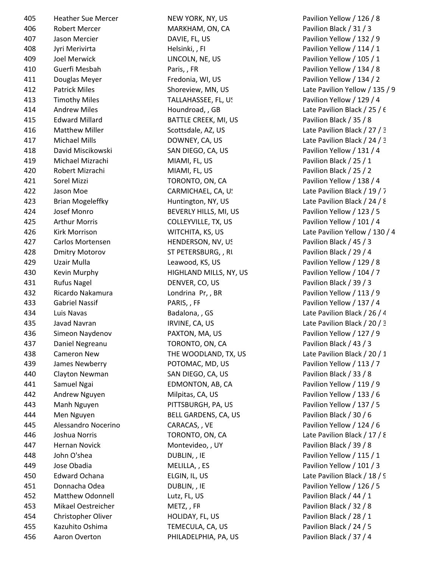| 405 | <b>Heather Sue Mercer</b> | NEW YORK, NY, US       | Pavilion Yellow / 126   |
|-----|---------------------------|------------------------|-------------------------|
| 406 | Robert Mercer             | MARKHAM, ON, CA        | Pavilion Black / 31 / 3 |
| 407 | Jason Mercier             | DAVIE, FL, US          | Pavilion Yellow / 132   |
| 408 | Jyri Merivirta            | Helsinki,, FI          | Pavilion Yellow / 114   |
| 409 | Joel Merwick              | LINCOLN, NE, US        | Pavilion Yellow / 105   |
| 410 | Guerfi Mesbah             | Paris,, FR             | Pavilion Yellow / 134   |
| 411 | Douglas Meyer             | Fredonia, WI, US       | Pavilion Yellow / 134   |
| 412 | <b>Patrick Miles</b>      | Shoreview, MN, US      | Late Pavilion Yellow /  |
| 413 | <b>Timothy Miles</b>      | TALLAHASSEE, FL, US    | Pavilion Yellow / 129   |
| 414 | <b>Andrew Miles</b>       | Houndroad, , GB        | Late Pavilion Black / 2 |
| 415 | <b>Edward Millard</b>     | BATTLE CREEK, MI, US   | Pavilion Black / 35 / 8 |
| 416 | <b>Matthew Miller</b>     | Scottsdale, AZ, US     | Late Pavilion Black / 2 |
| 417 | Michael Mills             | DOWNEY, CA, US         | Late Pavilion Black / 2 |
| 418 | David Miscikowski         | SAN DIEGO, CA, US      | Pavilion Yellow / 131   |
| 419 | Michael Mizrachi          | MIAMI, FL, US          | Pavilion Black / 25 / 1 |
| 420 | Robert Mizrachi           | MIAMI, FL, US          | Pavilion Black / 25 / 2 |
| 421 | Sorel Mizzi               | TORONTO, ON, CA        | Pavilion Yellow / 138   |
| 422 | Jason Moe                 | CARMICHAEL, CA, U!     | Late Pavilion Black / 1 |
| 423 | <b>Brian Mogeleffky</b>   | Huntington, NY, US     | Late Pavilion Black / 2 |
| 424 | Josef Monro               | BEVERLY HILLS, MI, US  | Pavilion Yellow / 123   |
| 425 | <b>Arthur Morris</b>      | COLLEYVILLE, TX, US    | Pavilion Yellow / 101   |
| 426 | Kirk Morrison             | WITCHITA, KS, US       | Late Pavilion Yellow /  |
| 427 | Carlos Mortensen          | HENDERSON, NV, US      | Pavilion Black / 45 / 3 |
| 428 | <b>Dmitry Motorov</b>     | ST PETERSBURG, , RI    | Pavilion Black / 29 / 4 |
| 429 | Uzair Mulla               | Leawood, KS, US        | Pavilion Yellow / 129   |
| 430 | Kevin Murphy              | HIGHLAND MILLS, NY, US | Pavilion Yellow / 104   |
| 431 | <b>Rufus Nagel</b>        | DENVER, CO, US         | Pavilion Black / 39 / 3 |
| 432 | Ricardo Nakamura          | Londrina Pr,, BR       | Pavilion Yellow / 113   |
| 433 | <b>Gabriel Nassif</b>     | PARIS,, FF             | Pavilion Yellow / 137   |
| 434 | Luis Navas                | Badalona, GS           | Late Pavilion Black / 2 |
| 435 | Javad Navran              | IRVINE, CA, US         | Late Pavilion Black / 2 |
| 436 | Simeon Naydenov           | PAXTON, MA, US         | Pavilion Yellow / 127   |
| 437 | Daniel Negreanu           | TORONTO, ON, CA        | Pavilion Black / 43 / 3 |
| 438 | Cameron New               | THE WOODLAND, TX, US   | Late Pavilion Black / 2 |
| 439 | James Newberry            | POTOMAC, MD, US        | Pavilion Yellow / 113   |
| 440 | Clayton Newman            | SAN DIEGO, CA, US      | Pavilion Black / 33 / 8 |
| 441 | Samuel Ngai               | EDMONTON, AB, CA       | Pavilion Yellow / 119   |
| 442 | Andrew Nguyen             | Milpitas, CA, US       | Pavilion Yellow / 133   |
| 443 | Manh Nguyen               | PITTSBURGH, PA, US     | Pavilion Yellow / 137   |
| 444 | Men Nguyen                | BELL GARDENS, CA, US   | Pavilion Black / 30 / 6 |
| 445 | Alessandro Nocerino       | CARACAS, , VE          | Pavilion Yellow / 124   |
| 446 | Joshua Norris             | TORONTO, ON, CA        | Late Pavilion Black / 1 |
| 447 | Hernan Novick             | Montevideo, , UY       | Pavilion Black / 39 / 8 |
| 448 | John O'shea               | DUBLIN, , IE           | Pavilion Yellow / 115   |
| 449 | Jose Obadia               | MELILLA, , ES          | Pavilion Yellow / 101   |
| 450 | <b>Edward Ochana</b>      | ELGIN, IL, US          | Late Pavilion Black / 1 |
| 451 | Donnacha Odea             | DUBLIN, , IE           | Pavilion Yellow / 126   |
| 452 | Matthew Odonnell          | Lutz, FL, US           | Pavilion Black / 44 / 1 |
| 453 | Mikael Oestreicher        | METZ, , FR             | Pavilion Black / 32 / 8 |
| 454 | Christopher Oliver        | HOLIDAY, FL, US        | Pavilion Black / 28 / 1 |
| 455 | Kazuhito Oshima           | TEMECULA, CA, US       | Pavilion Black / 24 / 5 |
| 456 | Aaron Overton             | PHILADELPHIA, PA, US   | Pavilion Black / 37 / 4 |

NEW YORK, NY, US Pavilion Yellow / 126 / 8 Shoreview, MN, US Late Pavilion Yellow / 135 / 9 Houndroad, , GB Late Pavilion Black / 25 / 6 Scottsdale, AZ, US Late Pavilion Black / 27 / 3 DOWNEY, CA, US Late Pavilion Black / 24 / 3 CARMICHAEL, CA, U. Late Pavilion Black / 19 / 7 Huntington, NY, US Late Pavilion Black / 24 / 8 WITCHITA, KS, US Late Pavilion Yellow / 130 / 4 Badalona, , GS Late Pavilion Black / 26 / 4 IRVINE, CA, US Late Pavilion Black / 20 / 3 THE WOODLAND, TX, US Late Pavilion Black / 20 / 1 TORONTO, ON, CA Late Pavilion Black / 17 / 8 ELGIN, IL, US Late Pavilion Black / 18 / 9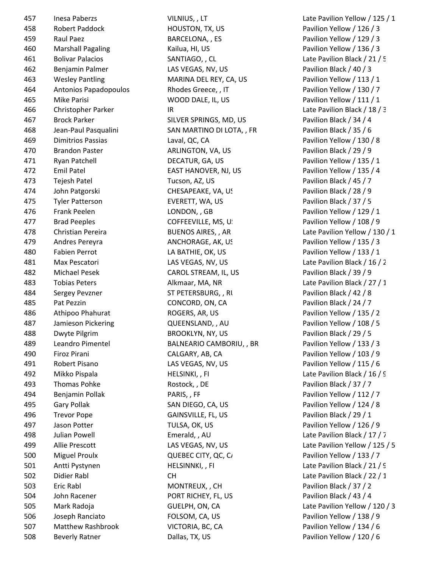457 Inesa Paberzs **VILNIUS, LT** CHANGE COMBRET MESS CONTROLLER MESS VILNIUS, LT Late Pavilion Yellow / 125 / 1 Robert Paddock HOUSTON, TX, US Pavilion Yellow / 126 / 3 459 Raul Paez BARCELONA, , ES Pavilion Yellow / 129 / 3 Marshall Pagaling Kailua, HI, US Pavilion Yellow / 136 / 3 Bolivar Palacios SANTIAGO, , CL Late Pavilion Black / 21 / 5 Benjamin Palmer LAS VEGAS, NV, US Pavilion Black / 40 / 3 Wesley Pantling MARINA DEL REY, CA, US Pavilion Yellow / 113 / 1 Antonios Papadopoulos Rhodes Greece, , IT Pavilion Yellow / 130 / 7 Mike Parisi WOOD DALE, IL, US Pavilion Yellow / 111 / 1 466 Christopher Parker IR IR Late Pavilion Black / 18 / 3 Brock Parker SILVER SPRINGS, MD, US Pavilion Black / 34 / 4 468 Jean-Paul Pasqualini SAN MARTINO DI LOTA, , FR Pavilion Black / 35 / 6 Dimitrios Passias Laval, QC, CA Pavilion Yellow / 130 / 8 Brandon Paster ARLINGTON, VA, US Pavilion Black / 29 / 9 Ryan Patchell DECATUR, GA, US Pavilion Yellow / 135 / 1 Emil Patel EAST HANOVER, NJ, US Pavilion Yellow / 135 / 4 Tejesh Patel Tucson, AZ, US Pavilion Black / 45 / 7 474 John Patgorski CHESAPEAKE, VA, US Pavilion Black / 28 / 9 Tyler Patterson EVERETT, WA, US Pavilion Black / 37 / 5 Frank Peelen LONDON, , GB Pavilion Yellow / 129 / 1 477 Brad Peeples **COFFEEVILLE, MS, US Pavilion Yellow** / 108 / 9 Andres Pereyra ANCHORAGE, AK, US Pavilion Yellow / 135 / 3 Fabien Perrot LA BATHIE, OK, US Pavilion Yellow / 133 / 1 Max Pescatori LAS VEGAS, NV, US Late Pavilion Black / 16 / 2 Michael Pesek CAROL STREAM, IL, US Pavilion Black / 39 / 9 Tobias Peters Alkmaar, MA, NR Late Pavilion Black / 27 / 1 484 Sergey Pevzner ST PETERSBURG, , RU Pavilion Black / 42 / 8 485 Pat Pezzin **CONCORD, ON, CA** Pavilion Black / 24 / 7 Athipoo Phahurat ROGERS, AR, US Pavilion Yellow / 135 / 2 Jamieson Pickering QUEENSLAND, , AU Pavilion Yellow / 108 / 5 488 Dwyte Pilgrim BROOKLYN, NY, US Pavilion Black / 29 / 5 489 Leandro Pimentel **BALNEARIO CAMBORIU, , BR** Pavilion Yellow / 133 / 3 Firoz Pirani CALGARY, AB, CA Pavilion Yellow / 103 / 9 Robert Pisano LAS VEGAS, NV, US Pavilion Yellow / 115 / 6 492 Mikko Pispala Mikko Pispala HELSINKI, , FI Late Pavilion Black / 16 / 9 493 Thomas Pohke **Rostock, DE Pavilion Black / 37 / 7** 494 Benjamin Pollak PARIS, , FF Pavilion Yellow / 112 / 7 Gary Pollak SAN DIEGO, CA, US Pavilion Yellow / 124 / 8 Trevor Pope GAINSVILLE, FL, US Pavilion Black / 29 / 1 Jason Potter TULSA, OK, US Pavilion Yellow / 126 / 9 Julian Powell Emerald, , AU Late Pavilion Black / 17 / 7 500 Miguel Proulx **QUEBEC CITY, QC, CANNO CONSTANT CONTRACT CONTRACT POST** Pavilion Yellow / 133 / 7 501 Antti Pystynen HELSINNKI, , FI Late Pavilion Black / 21 / 9 Didier Rabl CH Late Pavilion Black / 22 / 1 503 Eric Rabl MONTREUX, , CH Pavilion Black / 37 / 2 504 John Racener **PORT RICHEY, FL, US** Pavilion Black / 43 / 4 Joseph Ranciato FOLSOM, CA, US Pavilion Yellow / 138 / 9 Matthew Rashbrook VICTORIA, BC, CA Pavilion Yellow / 134 / 6 Beverly Ratner Dallas, TX, US Pavilion Yellow / 120 / 6

478 Christian Pereira **BUENOS AIRES, , AR** Late Pavilion Yellow / 130 / 1 Allie Prescott LAS VEGAS, NV, US Late Pavilion Yellow / 125 / 5 Mark Radoja GUELPH, ON, CA Late Pavilion Yellow / 120 / 3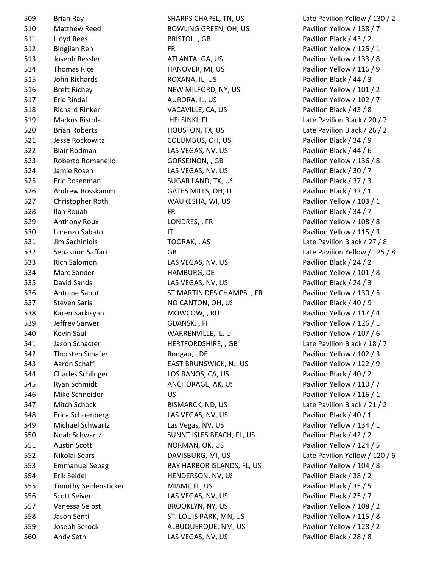Brian Ray SHARPS CHAPEL, TN, US Late Pavilion Yellow / 130 / 2 510 Matthew Reed BOWLING GREEN, OH, US Pavilion Yellow / 138 / 7 Lloyd Rees BRISTOL, , GB Pavilion Black / 43 / 2 Bingjian Ren FR Pavilion Yellow / 125 / 1 Joseph Ressler ATLANTA, GA, US Pavilion Yellow / 133 / 8 Thomas Rice HANOVER, MI, US Pavilion Yellow / 116 / 9 John Richards ROXANA, IL, US Pavilion Black / 44 / 3 516 Brett Richey NEW MILFORD, NY, US Pavilion Yellow / 101 / 2 Eric Rindal AURORA, IL, US Pavilion Yellow / 102 / 7 Richard Rinker VACAVILLE, CA, US Pavilion Black / 43 / 8 519 Markus Ristola **HELSINKI, FI** CHANGE HELSINKI, FI Late Pavilion Black / 20 / 7 Brian Roberts HOUSTON, TX, US Late Pavilion Black / 26 / 2 Jesse Rockowitz COLUMBUS, OH, US Pavilion Black / 34 / 9 Blair Rodman LAS VEGAS, NV, US Pavilion Black / 44 / 6 523 Roberto Romanello **GORSEINON, GB** Pavilion Yellow / 136 / 8 Jamie Rosen LAS VEGAS, NV, US Pavilion Black / 30 / 7 Eric Rosenman SUGAR LAND, TX, US Pavilion Black / 37 / 3 526 Andrew Rosskamm GATES MILLS, OH, U. Same Pavilion Black / 32 / 1 Christopher Roth WAUKESHA, WI, US Pavilion Yellow / 103 / 1 Ilan Rouah FR Pavilion Black / 34 / 7 529 Anthony Roux **LONDRES, , FR** Pavilion Yellow / 108 / 8 530 Lorenzo Sabato IT IT Research 2015 / 3 Jim Sachinidis TOORAK, , AS Late Pavilion Black / 27 / 8 Rich Salomon LAS VEGAS, NV, US Pavilion Black / 24 / 2 Marc Sander HAMBURG, DE Pavilion Yellow / 101 / 8 David Sands LAS VEGAS, NV, US Pavilion Black / 24 / 3 536 Antoine Saout ST MARTIN DES CHAMPS, , FR Pavilion Yellow / 130 / 5 537 Steven Saris **Same Steven Saris Steven Saris Addition** NO CANTON, OH, US **Pavilion Black / 40 / 9**  Karen Sarkisyan MOWCOW, , RU Pavilion Yellow / 117 / 4 539 Jeffrey Sarwer **GDANSK, FI** CORANSK, PH Pavilion Yellow / 126 / 1 540 Kevin Saul **WARRENVILLE, IL, US Pavilion Yellow** / 107 / 6 541 Jason Schacter **HERTFORDSHIRE, GB** Late Pavilion Black / 18 / 7 542 Thorsten Schafer **Rodgau, DE** Pavilion Yellow / 102 / 3 543 Aaron Schaff **EAST BRUNSWICK, NJ, US** Pavilion Yellow / 122 / 9 Charles Schlinger LOS BANOS, CA, US Pavilion Black / 40 / 2 Ryan Schmidt ANCHORAGE, AK, US Pavilion Yellow / 110 / 7 546 Mike Schneider US US Pavilion Yellow / 116 / 1 Mitch Schock BISMARCK, ND, US Late Pavilion Black / 21 / 2 Erica Schoenberg LAS VEGAS, NV, US Pavilion Black / 40 / 1 Michael Schwartz Las Vegas, NV, US Pavilion Yellow / 134 / 1 550 Noah Schwartz SUNNT ISLES BEACH, FL, US Pavilion Black / 42 / 2 Austin Scott NORMAN, OK, US Pavilion Yellow / 124 / 5 Emmanuel Sebag BAY HARBOR ISLANDS, FL, US Pavilion Yellow / 104 / 8 Erik Seidel HENDERSON, NV, US Pavilion Black / 38 / 2 Timothy Seidensticker MIAMI, FL, US Pavilion Black / 35 / 5 Scott Seiver LAS VEGAS, NV, US Pavilion Black / 25 / 7 Vanessa Selbst BROOKLYN, NY, US Pavilion Yellow / 108 / 2 Jason Senti ST. LOUIS PARK, MN, US Pavilion Yellow / 115 / 8 Joseph Serock ALBUQUERQUE, NM, US Pavilion Yellow / 128 / 2

 Sebastion Saffari GB Late Pavilion Yellow / 125 / 8 Nikolai Sears DAVISBURG, MI, US Late Pavilion Yellow / 120 / 6 Andy Seth LAS VEGAS, NV, US Pavilion Black / 28 / 8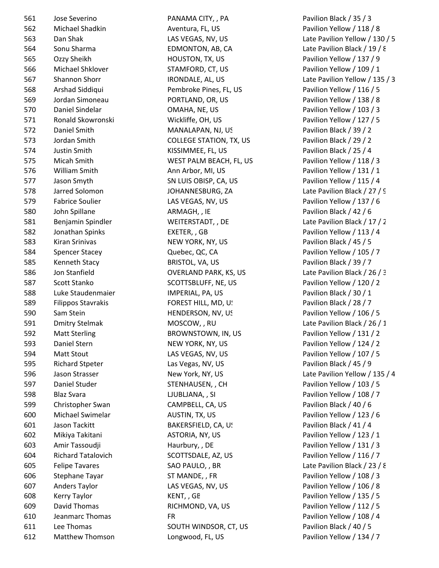Jose Severino PANAMA CITY, , PA Pavilion Black / 35 / 3 Michael Shadkin Aventura, FL, US Pavilion Yellow / 118 / 8 Sonu Sharma EDMONTON, AB, CA Late Pavilion Black / 19 / 8 Ozzy Sheikh HOUSTON, TX, US Pavilion Yellow / 137 / 9 Michael Shklover STAMFORD, CT, US Pavilion Yellow / 109 / 1 Arshad Siddiqui Pembroke Pines, FL, US Pavilion Yellow / 116 / 5 Jordan Simoneau PORTLAND, OR, US Pavilion Yellow / 138 / 8 Daniel Sindelar OMAHA, NE, US Pavilion Yellow / 103 / 3 Ronald Skowronski Wickliffe, OH, US Pavilion Yellow / 127 / 5 Daniel Smith MANALAPAN, NJ, US Pavilion Black / 39 / 2 Jordan Smith COLLEGE STATION, TX, US Pavilion Black / 29 / 2 Justin Smith KISSIMMEE, FL, US Pavilion Black / 25 / 4 Micah Smith WEST PALM BEACH, FL, US Pavilion Yellow / 118 / 3 576 William Smith **Ann Arbor, MI, US** Pavilion Yellow / 131 / 1 Jason Smyth SN LUIS OBISP, CA, US Pavilion Yellow / 115 / 4 578 Jarred Solomon JOHANNESBURG, ZA Late Pavilion Black / 27 / 9 579 Fabrice Soulier LAS VEGAS, NV, US Pavilion Yellow / 137 / 6 580 John Spillane **ARMAGH, , IE Pavilion Black / 42 / 6** ARMAGH, , IE Benjamin Spindler WEITERSTADT, , DE Late Pavilion Black / 17 / 2 Jonathan Spinks EXETER, , GB Pavilion Yellow / 113 / 4 583 Kiran Srinivas NEW YORK, NY, US Pavilion Black / 45 / 5 584 Spencer Stacey **Stace Acceptance Concerned Accepts** Ouebec, QC, CA **Pavilion Yellow** / 105 / 7 585 Kenneth Stacy **BRISTOL, VA, US** Pavilion Black / 39 / 7 Jon Stanfield OVERLAND PARK, KS, US Late Pavilion Black / 26 / 3 587 Scott Stanko SCOTTSBLUFF, NE, US Pavilion Yellow / 120 / 2 Luke Staudenmaier IMPERIAL, PA, US Pavilion Black / 30 / 1 589 Filippos Stavrakis FOREST HILL, MD, U! Pavilion Black / 28 / 7 590 Sam Stein **EXAM Stein HENDERSON, NV, US** Pavilion Yellow / 106 / 5 591 Dmitry Stelmak MOSCOW, , RU Late Pavilion Black / 26 / 1 Matt Sterling BROWNSTOWN, IN, US Pavilion Yellow / 131 / 2 593 Daniel Stern NEW YORK, NY, US Pavilion Yellow / 124 / 2 Matt Stout LAS VEGAS, NV, US Pavilion Yellow / 107 / 5 595 Richard Stpeter Las Vegas, NV, US Pavilion Black / 45 / 9 597 Daniel Studer STENHAUSEN, , CH Pavilion Yellow / 103 / 5 Blaz Svara LJUBLJANA, , SI Pavilion Yellow / 108 / 7 599 Christopher Swan CAMPBELL, CA, US Pavilion Black / 40 / 6 Michael Swimelar AUSTIN, TX, US Pavilion Yellow / 123 / 6 601 Jason Tackitt BAKERSFIELD, CA, US Pavilion Black / 41 / 4 Mikiya Takitani ASTORIA, NY, US Pavilion Yellow / 123 / 1 Amir Tassoudji Haurbury, , DE Pavilion Yellow / 131 / 3 Richard Tatalovich SCOTTSDALE, AZ, US Pavilion Yellow / 116 / 7 605 Felipe Tavares SAO PAULO, , BR Late Pavilion Black / 23 / 8 606 Stephane Tayar ST MANDE, , FR Pavilion Yellow / 108 / 3 Anders Taylor LAS VEGAS, NV, US Pavilion Yellow / 106 / 8 608 Kerry Taylor **KENT, GE Research Marsh 2008** Pavilion Yellow / 135 / 5 David Thomas RICHMOND, VA, US Pavilion Yellow / 112 / 5 Jeanmarc Thomas FR Pavilion Yellow / 108 / 4 Lee Thomas SOUTH WINDSOR, CT, US Pavilion Black / 40 / 5 Matthew Thomson Longwood, FL, US Pavilion Yellow / 134 / 7

563 Dan Shak LAS VEGAS, NV, US Late Pavilion Yellow / 130 / 5 567 Shannon Shorr **IRONDALE, AL, US** Late Pavilion Yellow / 135 / 3 596 Jason Strasser New York, NY, US Late Pavilion Yellow / 135 / 4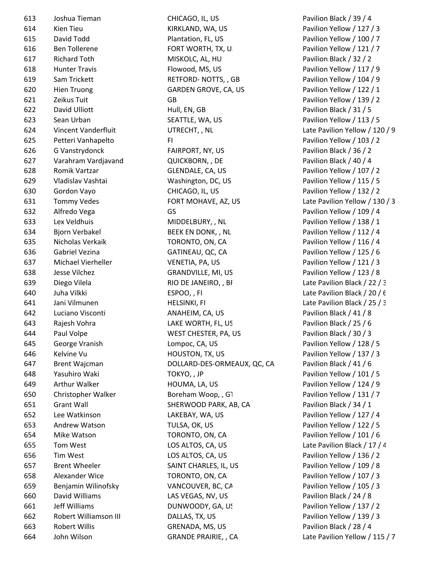| 613 | Joshua Tieman         | CHICAGO, IL, US             | Pavilion Black / 39 / 4        |
|-----|-----------------------|-----------------------------|--------------------------------|
| 614 | Kien Tieu             | KIRKLAND, WA, US            | Pavilion Yellow / 127 / 3      |
| 615 | David Todd            | Plantation, FL, US          | Pavilion Yellow / 100 / 7      |
| 616 | <b>Ben Tollerene</b>  | FORT WORTH, TX, U.          | Pavilion Yellow / 121 / 7      |
| 617 | <b>Richard Toth</b>   | MISKOLC, AL, HU             | Pavilion Black / 32 / 2        |
| 618 | <b>Hunter Travis</b>  | Flowood, MS, US             | Pavilion Yellow / 117 / 9      |
| 619 | Sam Trickett          | RETFORD-NOTTS, , GB         | Pavilion Yellow / 104 / 9      |
| 620 | <b>Hien Truong</b>    | GARDEN GROVE, CA, US        | Pavilion Yellow / 122 / 1      |
| 621 | Zeikus Tuit           | GB                          | Pavilion Yellow / 139 / 2      |
| 622 | David Ulliott         | Hull, EN, GB                | Pavilion Black / 31 / 5        |
| 623 | Sean Urban            | SEATTLE, WA, US             | Pavilion Yellow / 113 / 5      |
| 624 | Vincent Vanderfluit   | UTRECHT, , NL               | Late Pavilion Yellow / 120 / 9 |
| 625 | Petteri Vanhapelto    | FI.                         | Pavilion Yellow / 103 / 2      |
| 626 | G Vanstrydonck        | FAIRPORT, NY, US            | Pavilion Black / 36 / 2        |
| 627 | Varahram Vardjavand   | QUICKBORN, , DE             | Pavilion Black / 40 / 4        |
| 628 | Romik Vartzar         | GLENDALE, CA, US            | Pavilion Yellow / 107 / 2      |
| 629 | Vladislav Vashtai     | Washington, DC, US          | Pavilion Yellow / 115 / 5      |
| 630 | Gordon Vayo           | CHICAGO, IL, US             | Pavilion Yellow / 132 / 2      |
| 631 | <b>Tommy Vedes</b>    | FORT MOHAVE, AZ, US         | Late Pavilion Yellow / 130 / 3 |
| 632 | Alfredo Vega          | GS                          | Pavilion Yellow / 109 / 4      |
| 633 | Lex Veldhuis          | MIDDELBURY, , NL            | Pavilion Yellow / 138 / 1      |
| 634 | <b>Bjorn Verbakel</b> | BEEK EN DONK, , NL          | Pavilion Yellow / 112 / 4      |
| 635 | Nicholas Verkaik      | TORONTO, ON, CA             | Pavilion Yellow / 116 / 4      |
| 636 | Gabriel Vezina        | GATINEAU, QC, CA            | Pavilion Yellow / 125 / 6      |
| 637 | Michael Vierheller    | VENETIA, PA, US             | Pavilion Yellow / 121 / 3      |
| 638 | Jesse Vilchez         | GRANDVILLE, MI, US          | Pavilion Yellow / 123 / 8      |
| 639 | Diego Vilela          | RIO DE JANEIRO, , BF        | Late Pavilion Black / 22 / 3   |
| 640 | Juha Vilkki           | ESPOO,, FI                  | Late Pavilion Black / 20 / 6   |
| 641 | Jani Vilmunen         | <b>HELSINKI, FI</b>         | Late Pavilion Black / 25 / 3   |
| 642 | Luciano Visconti      | ANAHEIM, CA, US             | Pavilion Black / 41 / 8        |
| 643 | Rajesh Vohra          | LAKE WORTH, FL, US          | Pavilion Black / 25 / 6        |
| 644 | Paul Volpe            | WEST CHESTER, PA, US        | Pavilion Black / 30 / 3        |
| 645 | George Vranish        | Lompoc, CA, US              | Pavilion Yellow / 128 / 5      |
| 646 | Kelvine Vu            | HOUSTON, TX, US             | Pavilion Yellow / 137 / 3      |
| 647 | <b>Brent Wajcman</b>  | DOLLARD-DES-ORMEAUX, QC, CA | Pavilion Black / 41 / 6        |
| 648 | Yasuhiro Waki         | TOKYO, , JP                 | Pavilion Yellow / 101 / 5      |
| 649 | Arthur Walker         | HOUMA, LA, US               | Pavilion Yellow / 124 / 9      |
| 650 | Christopher Walker    | Boreham Woop, , G1          | Pavilion Yellow / 131 / 7      |
| 651 | <b>Grant Wall</b>     | SHERWOOD PARK, AB, CA       | Pavilion Black / 34 / 1        |
| 652 | Lee Watkinson         | LAKEBAY, WA, US             | Pavilion Yellow / 127 / 4      |
| 653 | Andrew Watson         | TULSA, OK, US               | Pavilion Yellow / 122 / 5      |
| 654 | Mike Watson           | TORONTO, ON, CA             | Pavilion Yellow / 101 / 6      |
| 655 | Tom West              | LOS ALTOS, CA, US           | Late Pavilion Black / 17 / 4   |
| 656 | Tim West              | LOS ALTOS, CA, US           | Pavilion Yellow / 136 / 2      |
| 657 | <b>Brent Wheeler</b>  | SAINT CHARLES, IL, US       | Pavilion Yellow / 109 / 8      |
| 658 | Alexander Wice        | TORONTO, ON, CA             | Pavilion Yellow / 107 / 3      |
| 659 | Benjamin Wilinofsky   | VANCOUVER, BC, CA           | Pavilion Yellow / 105 / 3      |
| 660 | David Williams        | LAS VEGAS, NV, US           | Pavilion Black / 24 / 8        |
| 661 | Jeff Williams         | DUNWOODY, GA, US            | Pavilion Yellow / 137 / 2      |
| 662 | Robert Williamson III | DALLAS, TX, US              | Pavilion Yellow / 139 / 3      |
| 663 | Robert Willis         | GRENADA, MS, US             | Pavilion Black / 28 / 4        |
| 664 | John Wilson           | <b>GRANDE PRAIRIE, , CA</b> | Late Pavilion Yellow / 115 / 7 |